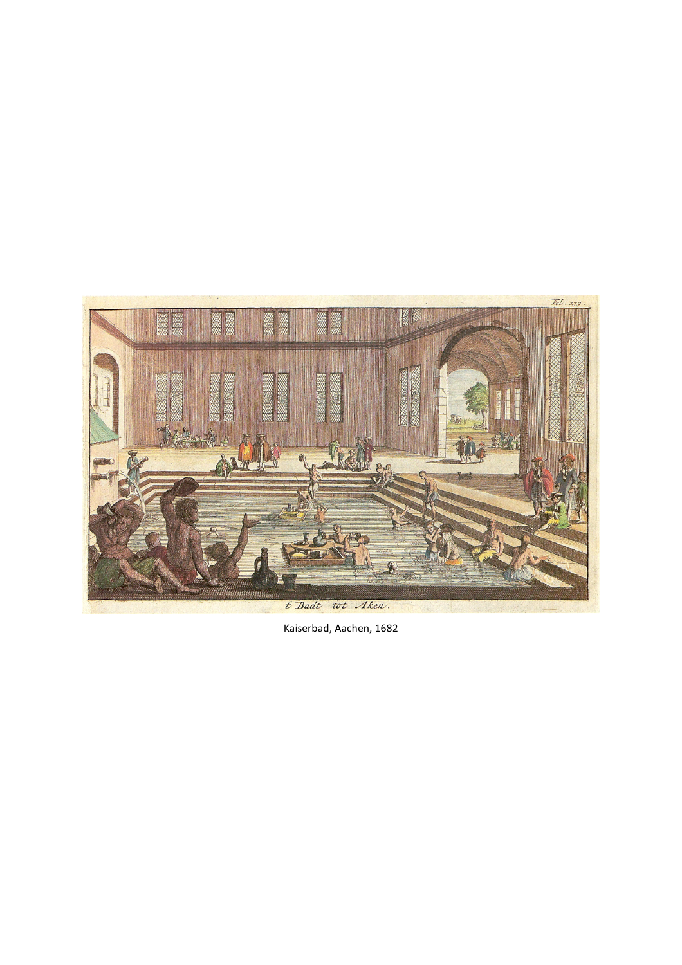

Kaiserbad, Aachen, 1682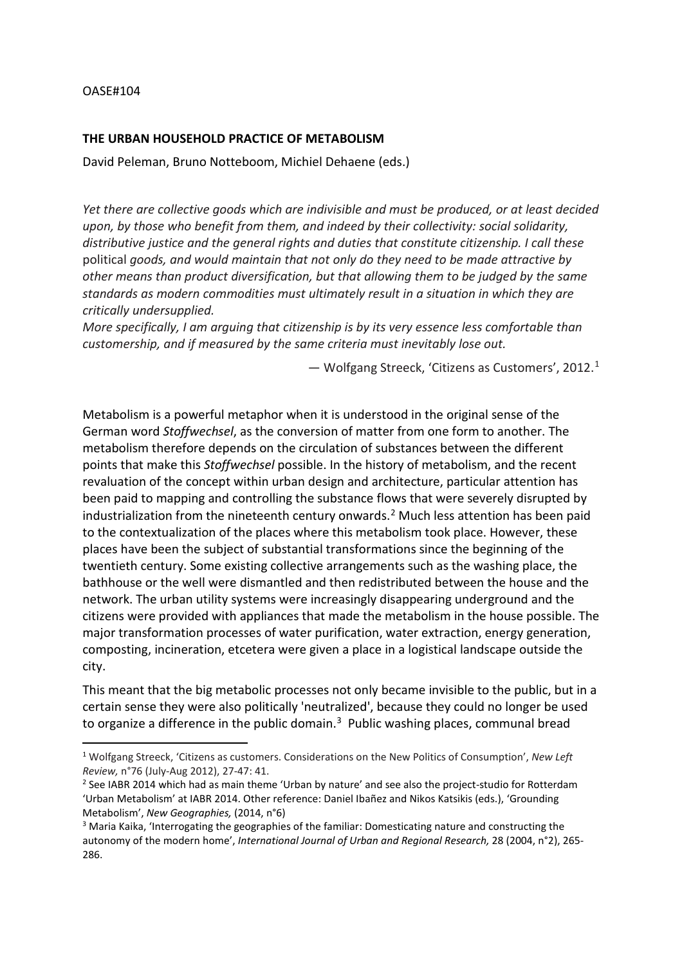## OASE#104

## **THE URBAN HOUSEHOLD PRACTICE OF METABOLISM**

David Peleman, Bruno Notteboom, Michiel Dehaene (eds.)

*Yet there are collective goods which are indivisible and must be produced, or at least decided upon, by those who benefit from them, and indeed by their collectivity: social solidarity, distributive justice and the general rights and duties that constitute citizenship. I call these*  political *goods, and would maintain that not only do they need to be made attractive by other means than product diversification, but that allowing them to be judged by the same standards as modern commodities must ultimately result in a situation in which they are critically undersupplied.*

*More specifically, I am arguing that citizenship is by its very essence less comfortable than customership, and if measured by the same criteria must inevitably lose out.* 

— Wolfgang Streeck, 'Citizens as Customers', 2012.[1](#page-1-0)

Metabolism is a powerful metaphor when it is understood in the original sense of the German word *Stoffwechsel*, as the conversion of matter from one form to another. The metabolism therefore depends on the circulation of substances between the different points that make this *Stoffwechsel* possible. In the history of metabolism, and the recent revaluation of the concept within urban design and architecture, particular attention has been paid to mapping and controlling the substance flows that were severely disrupted by industrialization from the nineteenth century onwards.<sup>[2](#page-1-1)</sup> Much less attention has been paid to the contextualization of the places where this metabolism took place. However, these places have been the subject of substantial transformations since the beginning of the twentieth century. Some existing collective arrangements such as the washing place, the bathhouse or the well were dismantled and then redistributed between the house and the network. The urban utility systems were increasingly disappearing underground and the citizens were provided with appliances that made the metabolism in the house possible. The major transformation processes of water purification, water extraction, energy generation, composting, incineration, etcetera were given a place in a logistical landscape outside the city.

This meant that the big metabolic processes not only became invisible to the public, but in a certain sense they were also politically 'neutralized', because they could no longer be used to organize a difference in the public domain.<sup>[3](#page-1-2)</sup> Public washing places, communal bread

<span id="page-1-0"></span> <sup>1</sup> Wolfgang Streeck, 'Citizens as customers. Considerations on the New Politics of Consumption', *New Left Review,* n°76 (July-Aug 2012), 27-47: 41.

<span id="page-1-1"></span><sup>&</sup>lt;sup>2</sup> See IABR 2014 which had as main theme 'Urban by nature' and see also the project-studio for Rotterdam 'Urban Metabolism' at IABR 2014. Other reference: Daniel Ibañez and Nikos Katsikis (eds.), 'Grounding Metabolism', *New Geographies,* (2014, n°6)

<span id="page-1-2"></span> $3$  Maria Kaika, 'Interrogating the geographies of the familiar: Domesticating nature and constructing the autonomy of the modern home', *International Journal of Urban and Regional Research,* 28 (2004, n°2), 265-286.